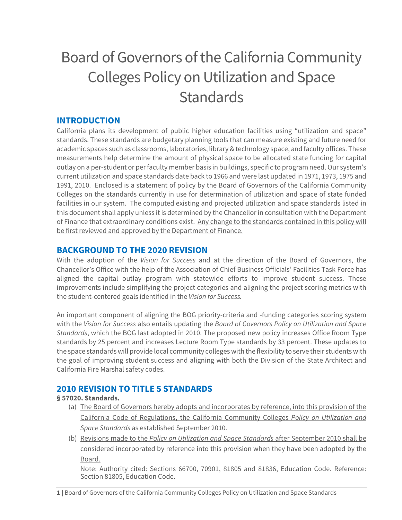# Board of Governors of the California Community Colleges Policy on Utilization and Space **Standards**

# **INTRODUCTION**

California plans its development of public higher education facilities using "utilization and space" standards. These standards are budgetary planning tools that can measure existing and future need for academic spaces such as classrooms, laboratories, library & technology space, and faculty offices. These measurements help determine the amount of physical space to be allocated state funding for capital outlay on a per-student or per faculty member basis in buildings, specific to program need. Our system's current utilization and space standards date back to 1966 and were last updated in 1971, 1973, 1975 and 1991, 2010. Enclosed is a statement of policy by the Board of Governors of the California Community Colleges on the standards currently in use for determination of utilization and space of state funded facilities in our system. The computed existing and projected utilization and space standards listed in this document shall apply unless it is determined by the Chancellor in consultation with the Department of Finance that extraordinary conditions exist. Any change to the standards contained in this policy will be first reviewed and approved by the Department of Finance.

# **BACKGROUND TO THE 2020 REVISION**

With the adoption of the *Vision for Success* and at the direction of the Board of Governors, the Chancellor's Office with the help of the Association of Chief Business Officials' Facilities Task Force has aligned the capital outlay program with statewide efforts to improve student success. These improvements include simplifying the project categories and aligning the project scoring metrics with the student-centered goals identified in the *Vision for Success.*

An important component of aligning the BOG priority-criteria and -funding categories scoring system with the *Vision for Success* also entails updating the *Board of Governors Policy on Utilization and Space Standards*, which the BOG last adopted in 2010. The proposed new policy increases Office Room Type standards by 25 percent and increases Lecture Room Type standards by 33 percent. These updates to the space standards will provide local community colleges with the flexibility to serve their students with the goal of improving student success and aligning with both the Division of the State Architect and California Fire Marshal safety codes.

# **2010 REVISION TO TITLE 5 STANDARDS**

## **§ 57020. Standards.**

- (a) The Board of Governors hereby adopts and incorporates by reference, into this provision of the California Code of Regulations, the California Community Colleges *Policy on Utilization and Space Standards* as established September 2010.
- (b) Revisions made to the *Policy on Utilization and Space Standards* after September 2010 shall be considered incorporated by reference into this provision when they have been adopted by the Board.

Note: Authority cited: Sections 66700, 70901, 81805 and 81836, Education Code. Reference: Section 81805, Education Code.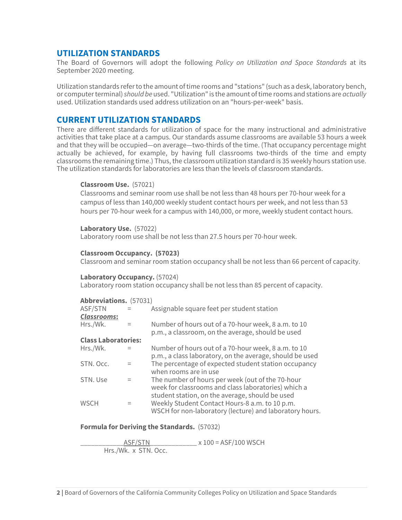## **UTILIZATION STANDARDS**

The Board of Governors will adopt the following *Policy on Utilization and Space Standards* at its September 2020 meeting.

Utilization standards refer to the amount of time rooms and "stations" (such as a desk, laboratory bench, or computer terminal) *should be* used. "Utilization" is the amount of time rooms and stations are *actually* used. Utilization standards used address utilization on an "hours-per-week" basis.

## **CURRENT UTILIZATION STANDARDS**

There are different standards for utilization of space for the many instructional and administrative activities that take place at a campus. Our standards assume classrooms are available 53 hours a week and that they will be occupied—on average—two-thirds of the time. (That occupancy percentage might actually be achieved, for example, by having full classrooms two-thirds of the time and empty classrooms the remaining time.) Thus, the classroom utilization standard is 35 weekly hours station use. The utilization standards for laboratories are less than the levels of classroom standards.

### **Classroom Use.** (57021)

Classrooms and seminar room use shall be not less than 48 hours per 70-hour week for a campus of less than 140,000 weekly student contact hours per week, and not less than 53 hours per 70-hour week for a campus with 140,000, or more, weekly student contact hours.

**Laboratory Use.** (57022)

Laboratory room use shall be not less than 27.5 hours per 70-hour week.

### **Classroom Occupancy. (57023)**

Classroom and seminar room station occupancy shall be not less than 66 percent of capacity.

#### **Laboratory Occupancy.** (57024)

Laboratory room station occupancy shall be not less than 85 percent of capacity.

#### **Abbreviations.** (57031)

| ASF/STN<br><b>Classrooms:</b> | $=$ | Assignable square feet per student station                                                                                                                   |
|-------------------------------|-----|--------------------------------------------------------------------------------------------------------------------------------------------------------------|
| Hrs./Wk.                      |     | Number of hours out of a 70-hour week, 8 a.m. to 10                                                                                                          |
|                               |     | p.m., a classroom, on the average, should be used                                                                                                            |
| <b>Class Laboratories:</b>    |     |                                                                                                                                                              |
| Hrs./Wk.                      |     | Number of hours out of a 70-hour week, 8 a.m. to 10<br>p.m., a class laboratory, on the average, should be used                                              |
| STN. Occ.                     |     | The percentage of expected student station occupancy<br>when rooms are in use                                                                                |
| STN. Use                      |     | The number of hours per week (out of the 70-hour<br>week for classrooms and class laboratories) which a                                                      |
| <b>WSCH</b>                   |     | student station, on the average, should be used<br>Weekly Student Contact Hours-8 a.m. to 10 p.m.<br>WSCH for non-laboratory (lecture) and laboratory hours. |

#### **Formula for Deriving the Standards.** (57032)

 $ASF/STN$  x 100 = ASF/100 WSCH Hrs./Wk. x STN. Occ.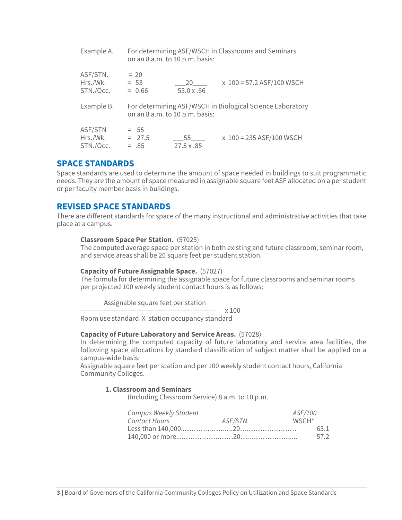| Example A.                        |                              | on an 8 a.m. to 10 p.m. basis: | For determining ASF/WSCH in Classrooms and Seminars       |
|-----------------------------------|------------------------------|--------------------------------|-----------------------------------------------------------|
| ASF/STN.<br>Hrs./Wk.<br>STN./Occ. | $= 20$<br>$= 53$<br>$= 0.66$ | 20<br>$53.0 \times .66$        | x 100 = 57.2 ASF/100 WSCH                                 |
| Example B.                        |                              | on an 8 a.m. to 10 p.m. basis: | For determining ASF/WSCH in Biological Science Laboratory |
| ASF/STN<br>Hrs./Wk.<br>STN./Occ.  | $= 55$<br>$= 27.5$           | 55                             | x 100 = 235 ASF/100 WSCH                                  |

## **SPACE STANDARDS**

Space standards are used to determine the amount of space needed in buildings to suit programmatic needs. They are the amount of space measured in assignable square feet ASF allocated on a per student or per faculty member basis in buildings.

# **REVISED SPACE STANDARDS**

There are different standards for space of the many instructional and administrative activities that take place at a campus.

## **Classroom Space Per Station.** (57025)

The computed average space per station in both existing and future classroom, seminar room, and service areas shall be 20 square feet per student station.

## **Capacity of Future Assignable Space.** (57027)

The formula for determining the assignable space for future classrooms and seminar rooms per projected 100 weekly student contact hours is as follows:

Assignable square feet per station

------------------------------------------------------------ x 100

Room use standard X station occupancy standard

## **Capacity of Future Laboratory and Service Areas.** (57028)

In determining the computed capacity of future laboratory and service area facilities, the following space allocations by standard classification of subject matter shall be applied on a campus-wide basis:

Assignable square feet per station and per 100 weekly student contact hours, California Community Colleges.

## **1. Classroom and Seminars**

(Including Classroom Service) 8 a.m. to 10 p.m.

| Campus Weekly Student | ASF/100  |                   |
|-----------------------|----------|-------------------|
| Contact Hours         | ASF/STN. | WSCH <sup>*</sup> |
|                       |          | 63.1              |
|                       |          | 57.2              |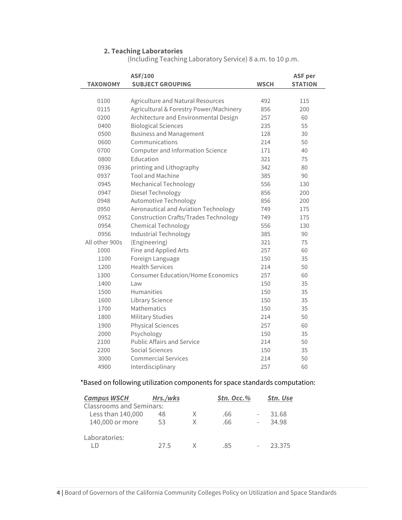## **2. Teaching Laboratories**

(Including Teaching Laboratory Service) 8 a.m. to 10 p.m.

|                 | <b>ASF/100</b>                               |             | <b>ASF per</b> |
|-----------------|----------------------------------------------|-------------|----------------|
| <b>TAXONOMY</b> | <b>SUBJECT GROUPING</b>                      | <b>WSCH</b> | <b>STATION</b> |
|                 |                                              |             |                |
| 0100            | Agriculture and Natural Resources            | 492         | 115            |
| 0115            | Agricultural & Forestry Power/Machinery      | 856         | 200            |
| 0200            | Architecture and Environmental Design        | 257         | 60             |
| 0400            | <b>Biological Sciences</b>                   | 235         | 55             |
| 0500            | <b>Business and Management</b>               | 128         | 30             |
| 0600            | Communications                               | 214         | 50             |
| 0700            | <b>Computer and Information Science</b>      | 171         | 40             |
| 0800            | Education                                    | 321         | 75             |
| 0936            | printing and Lithography                     | 342         | 80             |
| 0937            | <b>Tool and Machine</b>                      | 385         | 90             |
| 0945            | Mechanical Technology                        | 556         | 130            |
| 0947            | Diesel Technology                            | 856         | 200            |
| 0948            | Automotive Technology                        | 856         | 200            |
| 0950            | Aeronautical and Aviation Technology         | 749         | 175            |
| 0952            | <b>Construction Crafts/Trades Technology</b> | 749         | 175            |
| 0954            | <b>Chemical Technology</b>                   | 556         | 130            |
| 0956            | <b>Industrial Technology</b>                 | 385         | 90             |
| All other 900s  | (Engineering)                                | 321         | 75             |
| 1000            | Fine and Applied Arts                        | 257         | 60             |
| 1100            | Foreign Language                             | 150         | 35             |
| 1200            | <b>Health Services</b>                       | 214         | 50             |
| 1300            | <b>Consumer Education/Home Economics</b>     | 257         | 60             |
| 1400            | Law                                          | 150         | 35             |
| 1500            | Humanities                                   | 150         | 35             |
| 1600            | Library Science                              | 150         | 35             |
| 1700            | Mathematics                                  | 150         | 35             |
| 1800            | <b>Military Studies</b>                      | 214         | 50             |
| 1900            | <b>Physical Sciences</b>                     | 257         | 60             |
| 2000            | Psychology                                   | 150         | 35             |
| 2100            | <b>Public Affairs and Service</b>            | 214         | 50             |
| 2200            | Social Sciences                              | 150         | 35             |
| 3000            | <b>Commercial Services</b>                   | 214         | 50             |
| 4900            | Interdisciplinary                            | 257         | 60             |

## \*Based on following utilization components for space standards computation:

| <b>Campus WSCH</b>              | Hrs./wks | Stn. Occ.% |                          | Stn. Use |
|---------------------------------|----------|------------|--------------------------|----------|
| <b>Classrooms and Seminars:</b> |          |            |                          |          |
| Less than 140,000               | 48       | .66        | $\overline{\phantom{a}}$ | 31.68    |
| 140,000 or more                 | 53       | .66        | $\overline{\phantom{a}}$ | 34.98    |
| Laboratories:                   |          |            |                          |          |
| l D                             | 27.5     | .85        |                          | 23.375   |